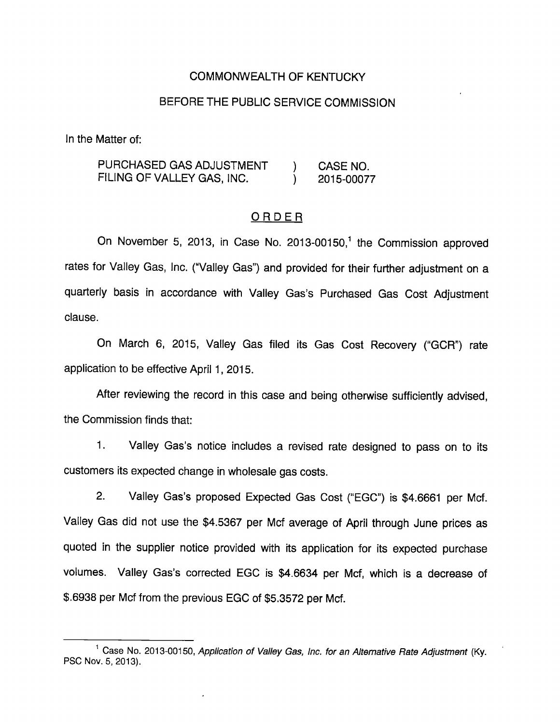### COMMONWEALTH OF KENTUCKY

### BEFORE THE PUBLIC SERVICE COMMISSION

In the Matter of:

PURCHASED GAS ADJUSTMENT ) CASE NO. FILING OF VALLEY GAS, INC. (2015-00077

#### ORDER

On November 5, 2013, in Case No. 2013-00150,<sup>1</sup> the Commission approved rates for Valley Gas, Inc. ("Valley Gas") and provided for their further adjustment on a quarterly basis in accordance with Valley Gas's Purchased Gas Cost Adjustment clause.

On March 6, 2015, Valley Gas filed its Gas Cost Recovery ("GCR") rate application to be effective April 1, 2015.

After reviewing the record in this case and being otherwise sufficiently advised, the Commission finds that:

1. Valley Gas's notice includes a revised rate designed to pass on to its customers its expected change in wholesale gas costs.

2. Valley Gas's proposed Expected Gas Cost ("EGC") is \$4.6661 per Mcf. Valley Gas did not use the \$4.5367 per Mcf average of April through June prices as quoted in the supplier notice provided with its application for its expected purchase volumes. Valley Gas's corrected EGC is \$4.6634 per Mcf, which is a decrease of \$.6938 per Mcf from the previous EGC of \$5.3572 per Mcf.

 $^1$  Case No. 2013-00150, Application of Valley Gas, Inc. for an Alternative Rate Adjustment (Ky. PSO Nov. 5. 2013).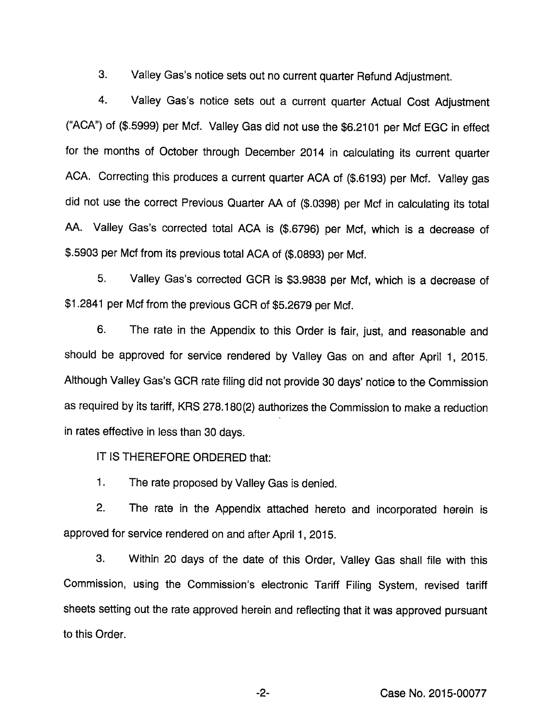3. Valley Gas's notice sets out no current quarter Refund Adjustment.

4. Valley Gas's notice sets out a current quarter Actual Cost Adjustment ("ACA") of (\$.5999) per Mcf. Valley Gas did not use the \$6.2101 per Mcf EGG in effect for the months of October through December 2014 in calculating its current quarter ACA. Correcting this produces a current quarter ACA of (\$.6193) per Mcf. Valley gas did not use the correct Previous Quarter AA of (\$.0398) per Mcf in calculating its total AA. Valley Gas's corrected total ACA is (\$.6796) per Mcf, which is a decrease of \$.5903 per Mcf from its previous total ACA of (\$.0893) per Mcf.

5. Valley Gas's corrected GCR is \$3.9838 per Mcf, which is a decrease of \$1.2841 per Mcf from the previous GCR of \$5.2679 per Mcf.

6. The rate in the Appendix to this Order is fair, just, and reasonable and should be approved for service rendered by Valley Gas on and after April 1, 2015. Although Valley Gas's GCR rate filing did not provide 30 days' notice to the Commission as required by its tariff, KRS 278.180(2) authorizes the Commission to make a reduction in rates effective in less than 30 days.

IT IS THEREFORE ORDERED that;

1. The rate proposed by Valley Gas is denied.

2. The rate in the Appendix attached hereto and incorporated herein is approved for service rendered on and after April 1, 2015.

3. Within 20 days of the date of this Order, Valley Gas shall file with this Commission, using the Commission's electronic Tariff Filing System, revised tariff sheets setting out the rate approved herein and reflecting that it was approved pursuant to this Order.

-2- Case No. 2015-00077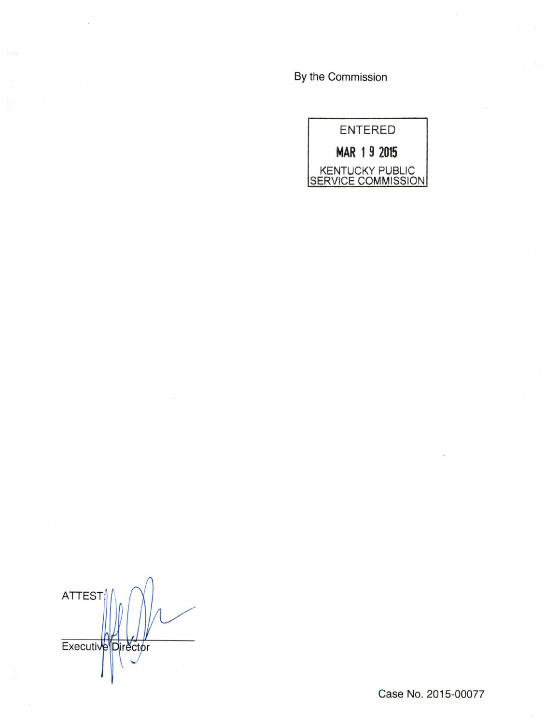By the Commission



ATTEST Executive<sup>Director</sup>

Case No. 2015-00077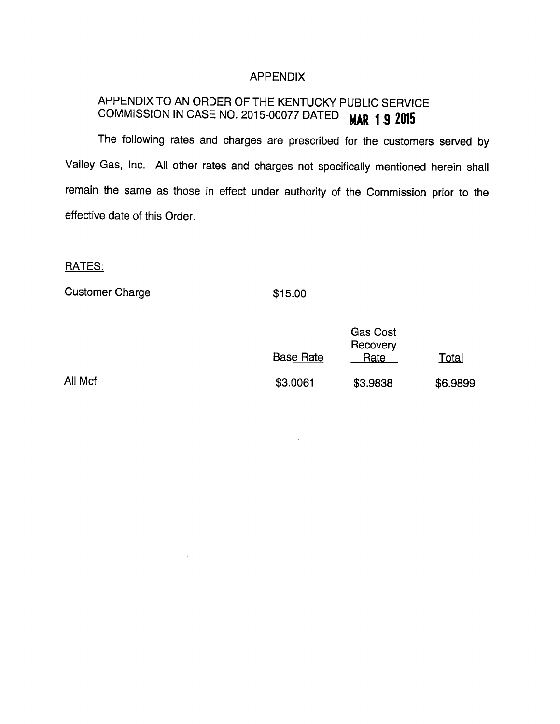# APPENDIX

# APPENDIX TO AN ORDER OF THE KENTUCKY PUBLIC SERVICE COMMISSION IN CASE NO. 2015-00077 DATED  $\text{MAP}$  1.9 2015

The following rates and charges are prescribed for the customers served by Valley Gas, Inc. All other rates and charges not specifically mentioned herein shall remain the same as those in effect under authority of the Commission prior to the effective date of this Order.

# RATES:

Customer Charge **\$15.00** 

|         | <b>Base Rate</b> | <b>Gas Cost</b><br>Recovery<br>Rate | Total    |
|---------|------------------|-------------------------------------|----------|
| All Mcf | \$3.0061         | \$3.9838                            | \$6.9899 |